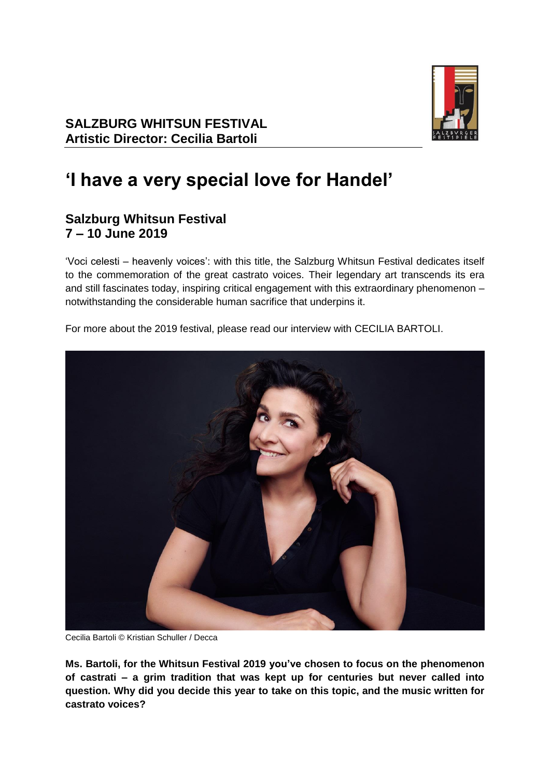

# **'I have a very special love for Handel'**

# **Salzburg Whitsun Festival 7 – 10 June 2019**

'Voci celesti – heavenly voices': with this title, the Salzburg Whitsun Festival dedicates itself to the commemoration of the great castrato voices. Their legendary art transcends its era and still fascinates today, inspiring critical engagement with this extraordinary phenomenon – notwithstanding the considerable human sacrifice that underpins it.

For more about the 2019 festival, please read our interview with CECILIA BARTOLI.



Cecilia Bartoli © Kristian Schuller / Decca

**Ms. Bartoli, for the Whitsun Festival 2019 you've chosen to focus on the phenomenon of castrati – a grim tradition that was kept up for centuries but never called into question. Why did you decide this year to take on this topic, and the music written for castrato voices?**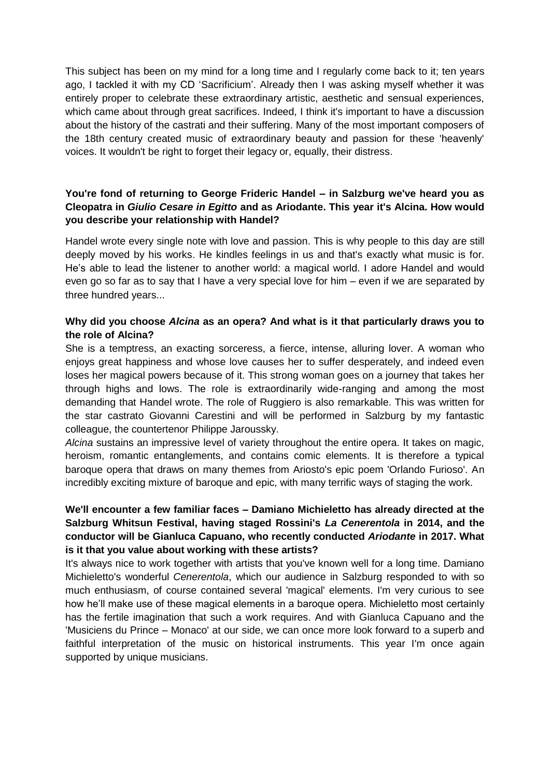This subject has been on my mind for a long time and I regularly come back to it; ten years ago, I tackled it with my CD 'Sacrificium'. Already then I was asking myself whether it was entirely proper to celebrate these extraordinary artistic, aesthetic and sensual experiences, which came about through great sacrifices. Indeed, I think it's important to have a discussion about the history of the castrati and their suffering. Many of the most important composers of the 18th century created music of extraordinary beauty and passion for these 'heavenly' voices. It wouldn't be right to forget their legacy or, equally, their distress.

# **You're fond of returning to George Frideric Handel – in Salzburg we've heard you as Cleopatra in** *Giulio Cesare in Egitto* **and as Ariodante. This year it's Alcina. How would you describe your relationship with Handel?**

Handel wrote every single note with love and passion. This is why people to this day are still deeply moved by his works. He kindles feelings in us and that's exactly what music is for. He's able to lead the listener to another world: a magical world. I adore Handel and would even go so far as to say that I have a very special love for him – even if we are separated by three hundred years...

### **Why did you choose** *Alcina* **as an opera? And what is it that particularly draws you to the role of Alcina?**

She is a temptress, an exacting sorceress, a fierce, intense, alluring lover. A woman who enjoys great happiness and whose love causes her to suffer desperately, and indeed even loses her magical powers because of it. This strong woman goes on a journey that takes her through highs and lows. The role is extraordinarily wide-ranging and among the most demanding that Handel wrote. The role of Ruggiero is also remarkable. This was written for the star castrato Giovanni Carestini and will be performed in Salzburg by my fantastic colleague, the countertenor Philippe Jaroussky.

*Alcina* sustains an impressive level of variety throughout the entire opera. It takes on magic, heroism, romantic entanglements, and contains comic elements. It is therefore a typical baroque opera that draws on many themes from Ariosto's epic poem 'Orlando Furioso'. An incredibly exciting mixture of baroque and epic, with many terrific ways of staging the work.

# **We'll encounter a few familiar faces – Damiano Michieletto has already directed at the Salzburg Whitsun Festival, having staged Rossini's** *La Cenerentola* **in 2014, and the conductor will be Gianluca Capuano, who recently conducted** *Ariodante* **in 2017. What is it that you value about working with these artists?**

It's always nice to work together with artists that you've known well for a long time. Damiano Michieletto's wonderful *Cenerentola*, which our audience in Salzburg responded to with so much enthusiasm, of course contained several 'magical' elements. I'm very curious to see how he'll make use of these magical elements in a baroque opera. Michieletto most certainly has the fertile imagination that such a work requires. And with Gianluca Capuano and the 'Musiciens du Prince – Monaco' at our side, we can once more look forward to a superb and faithful interpretation of the music on historical instruments. This year I'm once again supported by unique musicians.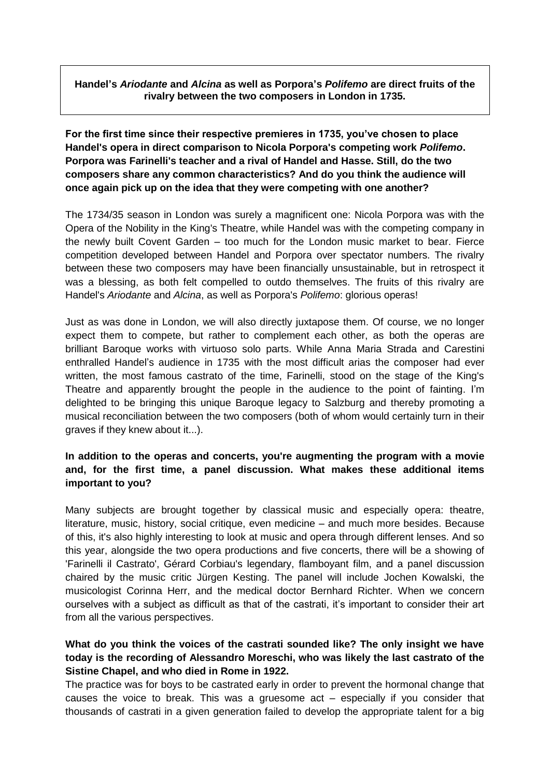#### **Handel's** *Ariodante* **and** *Alcina* **as well as Porpora's** *Polifemo* **are direct fruits of the rivalry between the two composers in London in 1735.**

**For the first time since their respective premieres in 1735, you've chosen to place Handel's opera in direct comparison to Nicola Porpora's competing work** *Polifemo***. Porpora was Farinelli's teacher and a rival of Handel and Hasse. Still, do the two composers share any common characteristics? And do you think the audience will once again pick up on the idea that they were competing with one another?**

The 1734/35 season in London was surely a magnificent one: Nicola Porpora was with the Opera of the Nobility in the King's Theatre, while Handel was with the competing company in the newly built Covent Garden – too much for the London music market to bear. Fierce competition developed between Handel and Porpora over spectator numbers. The rivalry between these two composers may have been financially unsustainable, but in retrospect it was a blessing, as both felt compelled to outdo themselves. The fruits of this rivalry are Handel's *Ariodante* and *Alcina*, as well as Porpora's *Polifemo*: glorious operas!

Just as was done in London, we will also directly juxtapose them. Of course, we no longer expect them to compete, but rather to complement each other, as both the operas are brilliant Baroque works with virtuoso solo parts. While Anna Maria Strada and Carestini enthralled Handel's audience in 1735 with the most difficult arias the composer had ever written, the most famous castrato of the time, Farinelli, stood on the stage of the King's Theatre and apparently brought the people in the audience to the point of fainting. I'm delighted to be bringing this unique Baroque legacy to Salzburg and thereby promoting a musical reconciliation between the two composers (both of whom would certainly turn in their graves if they knew about it...).

# **In addition to the operas and concerts, you're augmenting the program with a movie and, for the first time, a panel discussion. What makes these additional items important to you?**

Many subjects are brought together by classical music and especially opera: theatre, literature, music, history, social critique, even medicine – and much more besides. Because of this, it's also highly interesting to look at music and opera through different lenses. And so this year, alongside the two opera productions and five concerts, there will be a showing of 'Farinelli il Castrato', Gérard Corbiau's legendary, flamboyant film, and a panel discussion chaired by the music critic Jürgen Kesting. The panel will include Jochen Kowalski, the musicologist Corinna Herr, and the medical doctor Bernhard Richter. When we concern ourselves with a subject as difficult as that of the castrati, it's important to consider their art from all the various perspectives.

### **What do you think the voices of the castrati sounded like? The only insight we have today is the recording of Alessandro Moreschi, who was likely the last castrato of the Sistine Chapel, and who died in Rome in 1922.**

The practice was for boys to be castrated early in order to prevent the hormonal change that causes the voice to break. This was a gruesome act – especially if you consider that thousands of castrati in a given generation failed to develop the appropriate talent for a big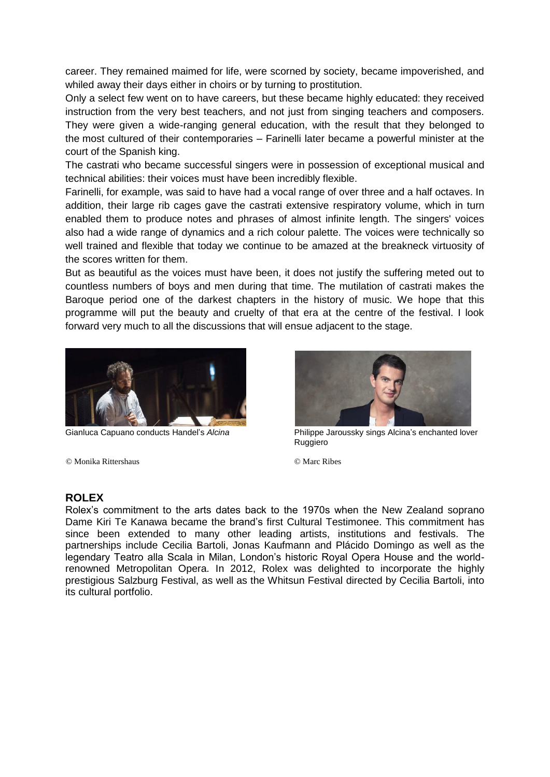career. They remained maimed for life, were scorned by society, became impoverished, and whiled away their days either in choirs or by turning to prostitution.

Only a select few went on to have careers, but these became highly educated: they received instruction from the very best teachers, and not just from singing teachers and composers. They were given a wide-ranging general education, with the result that they belonged to the most cultured of their contemporaries – Farinelli later became a powerful minister at the court of the Spanish king.

The castrati who became successful singers were in possession of exceptional musical and technical abilities: their voices must have been incredibly flexible.

Farinelli, for example, was said to have had a vocal range of over three and a half octaves. In addition, their large rib cages gave the castrati extensive respiratory volume, which in turn enabled them to produce notes and phrases of almost infinite length. The singers' voices also had a wide range of dynamics and a rich colour palette. The voices were technically so well trained and flexible that today we continue to be amazed at the breakneck virtuosity of the scores written for them.

But as beautiful as the voices must have been, it does not justify the suffering meted out to countless numbers of boys and men during that time. The mutilation of castrati makes the Baroque period one of the darkest chapters in the history of music. We hope that this programme will put the beauty and cruelty of that era at the centre of the festival. I look forward very much to all the discussions that will ensue adjacent to the stage.



© Monika Rittershaus © Marc Ribes



Gianluca Capuano conducts Handel's *Alcina* Philippe Jaroussky sings Alcina's enchanted lover Ruggiero

#### **ROLEX**

Rolex's commitment to the arts dates back to the 1970s when the New Zealand soprano Dame Kiri Te Kanawa became the brand's first Cultural Testimonee. This commitment has since been extended to many other leading artists, institutions and festivals. The partnerships include Cecilia Bartoli, Jonas Kaufmann and Plácido Domingo as well as the legendary Teatro alla Scala in Milan, London's historic Royal Opera House and the worldrenowned Metropolitan Opera. In 2012, Rolex was delighted to incorporate the highly prestigious Salzburg Festival, as well as the Whitsun Festival directed by Cecilia Bartoli, into its cultural portfolio.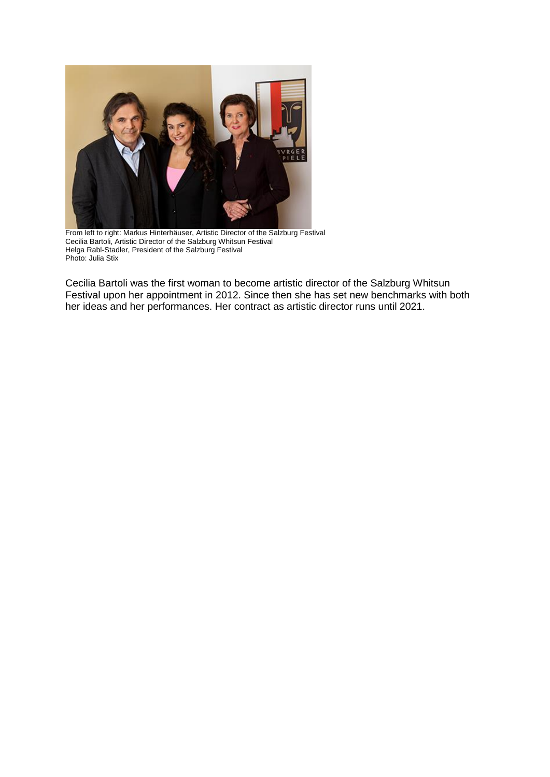

From left to right: Markus Hinterhäuser, Artistic Director of the Salzburg Festival Cecilia Bartoli, Artistic Director of the Salzburg Whitsun Festival Helga Rabl-Stadler, President of the Salzburg Festival Photo: Julia Stix

Cecilia Bartoli was the first woman to become artistic director of the Salzburg Whitsun Festival upon her appointment in 2012. Since then she has set new benchmarks with both her ideas and her performances. Her contract as artistic director runs until 2021.